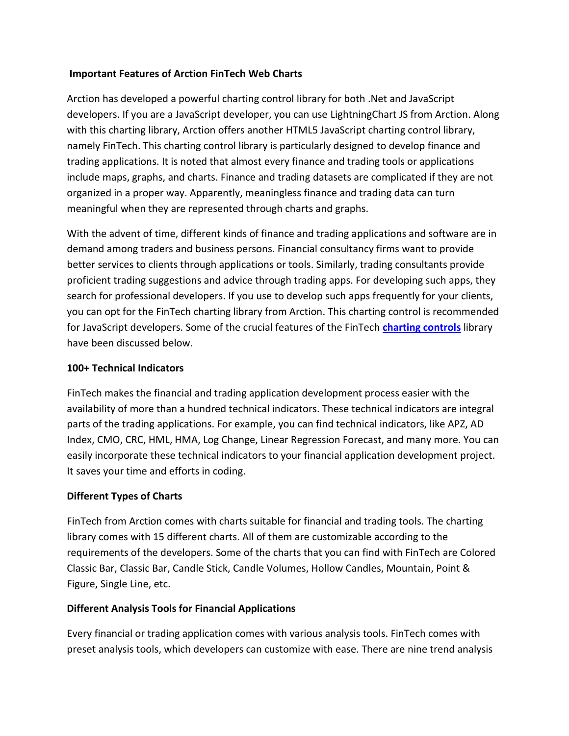### **Important Features of Arction FinTech Web Charts**

Arction has developed a powerful charting control library for both .Net and JavaScript developers. If you are a JavaScript developer, you can use LightningChart JS from Arction. Along with this charting library, Arction offers another HTML5 JavaScript charting control library, namely FinTech. This charting control library is particularly designed to develop finance and trading applications. It is noted that almost every finance and trading tools or applications include maps, graphs, and charts. Finance and trading datasets are complicated if they are not organized in a proper way. Apparently, meaningless finance and trading data can turn meaningful when they are represented through charts and graphs.

With the advent of time, different kinds of finance and trading applications and software are in demand among traders and business persons. Financial consultancy firms want to provide better services to clients through applications or tools. Similarly, trading consultants provide proficient trading suggestions and advice through trading apps. For developing such apps, they search for professional developers. If you use to develop such apps frequently for your clients, you can opt for the FinTech charting library from Arction. This charting control is recommended for JavaScript developers. Some of the crucial features of the FinTech **[charting controls](https://www.arction.com/)** library have been discussed below.

## **100+ Technical Indicators**

FinTech makes the financial and trading application development process easier with the availability of more than a hundred technical indicators. These technical indicators are integral parts of the trading applications. For example, you can find technical indicators, like APZ, AD Index, CMO, CRC, HML, HMA, Log Change, Linear Regression Forecast, and many more. You can easily incorporate these technical indicators to your financial application development project. It saves your time and efforts in coding.

### **Different Types of Charts**

FinTech from Arction comes with charts suitable for financial and trading tools. The charting library comes with 15 different charts. All of them are customizable according to the requirements of the developers. Some of the charts that you can find with FinTech are Colored Classic Bar, Classic Bar, Candle Stick, Candle Volumes, Hollow Candles, Mountain, Point & Figure, Single Line, etc.

# **Different Analysis Tools for Financial Applications**

Every financial or trading application comes with various analysis tools. FinTech comes with preset analysis tools, which developers can customize with ease. There are nine trend analysis